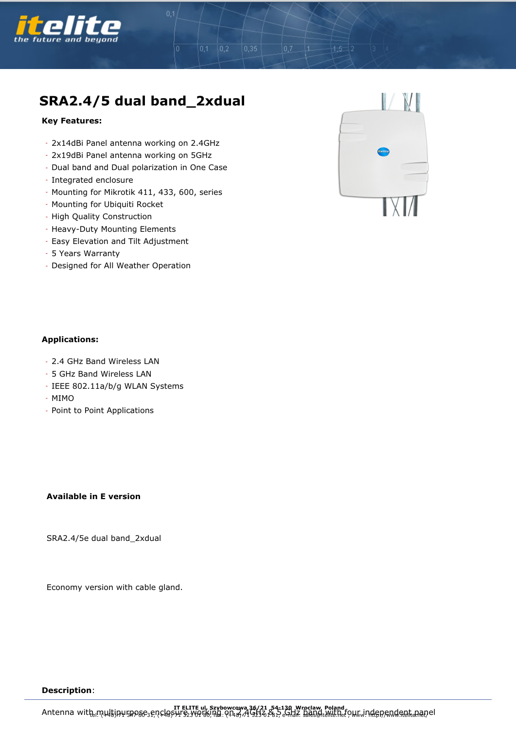

# **SRA2.4/5 dual band\_2xdual**

 $|0,2\rangle$ 

 $0,35$ 

#### **Key Features:**

- 2x14dBi Panel antenna working on 2.4GHz
- 2x19dBi Panel antenna working on 5GHz
- Dual band and Dual polarization in One Case
- Integrated enclosure
- Mounting for Mikrotik 411, 433, 600, series
- Mounting for Ubiquiti Rocket
- High Quality Construction
- Heavy-Duty Mounting Elements
- Easy Elevation and Tilt Adjustment
- 5 Years Warranty
- Designed for All Weather Operation



### **Applications:**

- 2.4 GHz Band Wireless LAN
- 5 GHz Band Wireless LAN
- IEEE 802.11a/b/g WLAN Systems
- MIMO
- Point to Point Applications

## **Available in E version**

SRA2.4/5e dual band\_2xdual

Economy version with cable gland.

#### **Description**: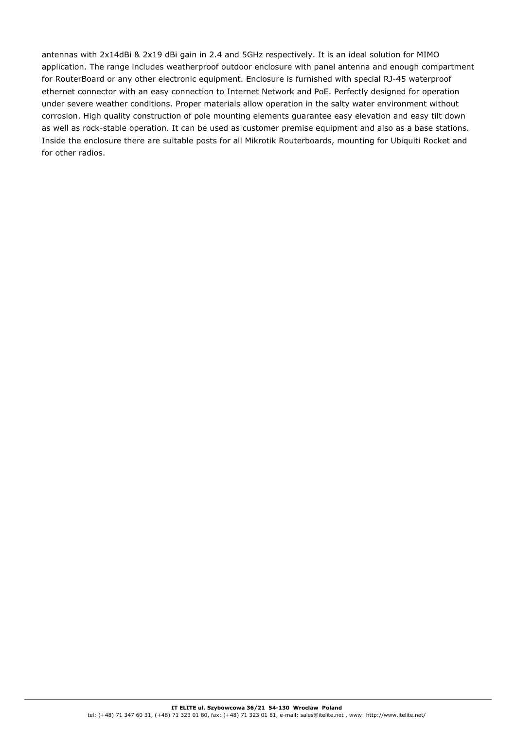antennas with 2x14dBi & 2x19 dBi gain in 2.4 and 5GHz respectively. It is an ideal solution for MIMO application. The range includes weatherproof outdoor enclosure with panel antenna and enough compartment for RouterBoard or any other electronic equipment. Enclosure is furnished with special RJ-45 waterproof ethernet connector with an easy connection to Internet Network and PoE. Perfectly designed for operation under severe weather conditions. Proper materials allow operation in the salty water environment without corrosion. High quality construction of pole mounting elements guarantee easy elevation and easy tilt down as well as rock-stable operation. It can be used as customer premise equipment and also as a base stations. Inside the enclosure there are suitable posts for all Mikrotik Routerboards, mounting for Ubiquiti Rocket and for other radios.